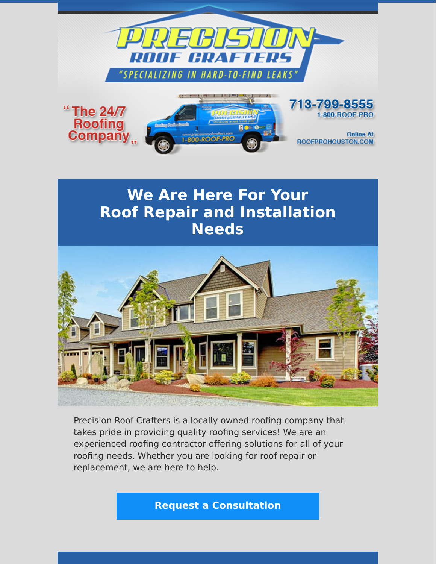

## **We Are Here For Your Roof Repair and Installation Needs**



Precision Roof Crafters is a locally owned roofing company that takes pride in providing quality roofing services! We are an experienced roofing contractor offering solutions for all of your roofing needs. Whether you are looking for roof repair or replacement, we are here to help.

**[Request a Consultation](https://www.precisionroofcrafters.com/contact-us.php)**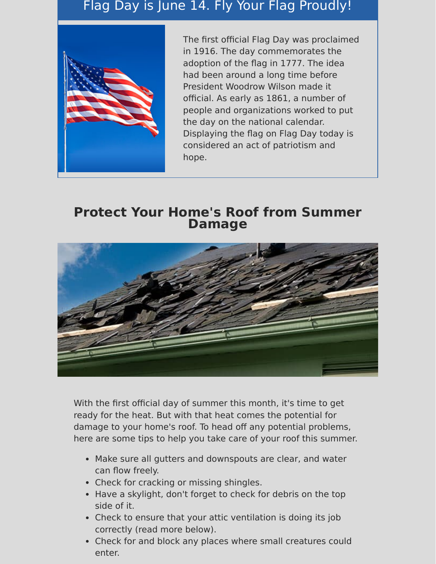## Flag Day is June 14. Fly Your Flag Proudly!



The first official Flag Day was proclaimed in 1916. The day commemorates the adoption of the flag in 1777. The idea had been around a long time before President Woodrow Wilson made it official. As early as 1861, a number of people and organizations worked to put the day on the national calendar. Displaying the flag on Flag Day today is considered an act of patriotism and hope.

### **Protect Your Home's Roof from Summer Damage**



With the first official day of summer this month, it's time to get ready for the heat. But with that heat comes the potential for damage to your home's roof. To head off any potential problems, here are some tips to help you take care of your roof this summer.

- Make sure all gutters and downspouts are clear, and water can flow freely.
- Check for cracking or missing shingles.
- Have a skylight, don't forget to check for debris on the top side of it.
- Check to ensure that your attic ventilation is doing its job correctly (read more below).
- Check for and block any places where small creatures could enter.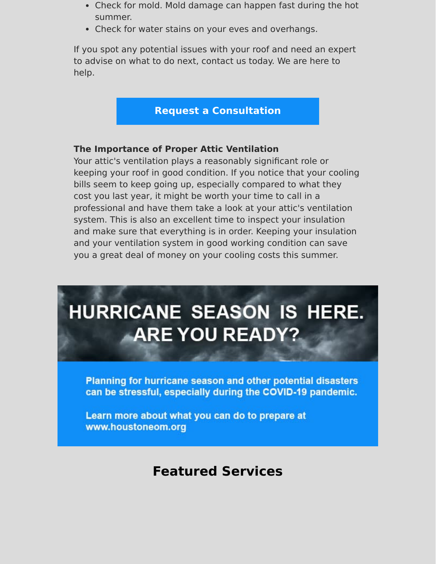- Check for mold. Mold damage can happen fast during the hot summer.
- Check for water stains on your eves and overhangs.

If you spot any potential issues with your roof and need an expert to advise on what to do next, contact us today. We are here to help.

### **[Request a Consultation](https://www.precisionroofcrafters.com/contact-us.php)**

### **The Importance of Proper Attic Ventilation**

Your attic's ventilation plays a reasonably significant role or keeping your roof in good condition. If you notice that your cooling bills seem to keep going up, especially compared to what they cost you last year, it might be worth your time to call in a professional and have them take a look at your attic's ventilation system. This is also an excellent time to inspect your insulation and make sure that everything is in order. Keeping your insulation and your ventilation system in good working condition can save you a great deal of money on your cooling costs this summer.

# **HURRICANE SEASON IS HERE. ARE YOU READY?**

Planning for hurricane season and other potential disasters can be stressful, especially during the COVID-19 pandemic.

Learn more about what you can do to prepare at www.houstoneom.org

## **Featured Services**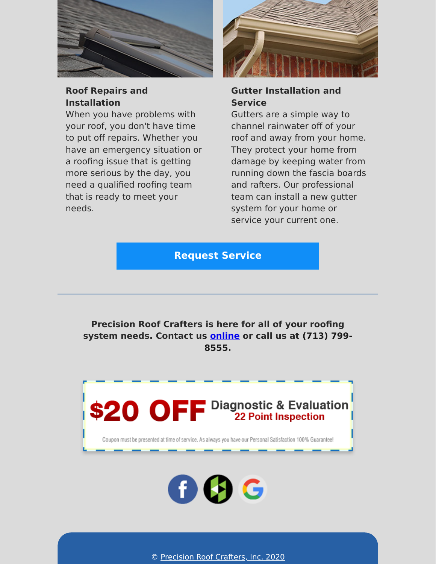

### **Roof Repairs and Installation**

When you have problems with your roof, you don't have time to put off repairs. Whether you have an emergency situation or a roofing issue that is getting more serious by the day, you need a qualified roofing team that is ready to meet your needs.



### **Gutter Installation and Service**

Gutters are a simple way to channel rainwater off of your roof and away from your home. They protect your home from damage by keeping water from running down the fascia boards and rafters. Our professional team can install a new gutter system for your home or service your current one.

**[Request Service](https://www.precisionroofcrafters.com/contact-us.php)**

**Precision Roof Crafters is here for all of your roofing system needs. Contact u[s o](tel:+17137998555)[nline](https://www.precisionroofcrafters.com/contact-us.php) [or call us at \(713\) 799-](tel:+17137998555) 8555.**